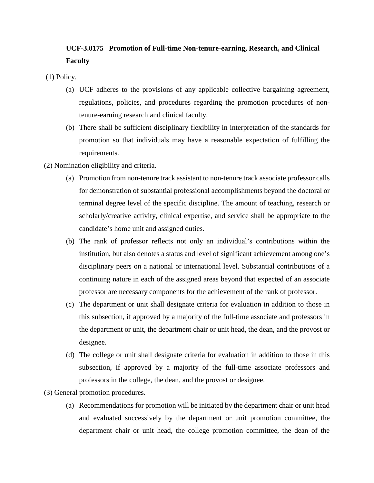## **UCF-3.0175 Promotion of Full-time Non-tenure-earning, Research, and Clinical Faculty**

- (1) Policy.
	- (a) UCF adheres to the provisions of any applicable collective bargaining agreement, regulations, policies, and procedures regarding the promotion procedures of nontenure-earning research and clinical faculty.
	- (b) There shall be sufficient disciplinary flexibility in interpretation of the standards for promotion so that individuals may have a reasonable expectation of fulfilling the requirements.
- (2) Nomination eligibility and criteria.
	- (a) Promotion from non-tenure track assistant to non-tenure track associate professor calls for demonstration of substantial professional accomplishments beyond the doctoral or terminal degree level of the specific discipline. The amount of teaching, research or scholarly/creative activity, clinical expertise, and service shall be appropriate to the candidate's home unit and assigned duties.
	- (b) The rank of professor reflects not only an individual's contributions within the institution, but also denotes a status and level of significant achievement among one's disciplinary peers on a national or international level. Substantial contributions of a continuing nature in each of the assigned areas beyond that expected of an associate professor are necessary components for the achievement of the rank of professor.
	- (c) The department or unit shall designate criteria for evaluation in addition to those in this subsection, if approved by a majority of the full-time associate and professors in the department or unit, the department chair or unit head, the dean, and the provost or designee.
	- (d) The college or unit shall designate criteria for evaluation in addition to those in this subsection, if approved by a majority of the full-time associate professors and professors in the college, the dean, and the provost or designee.
- (3) General promotion procedures.
	- (a) Recommendations for promotion will be initiated by the department chair or unit head and evaluated successively by the department or unit promotion committee, the department chair or unit head, the college promotion committee, the dean of the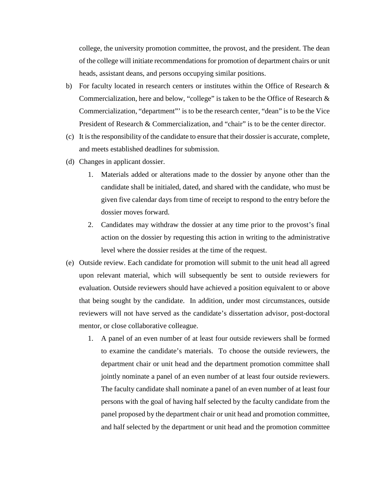college, the university promotion committee, the provost, and the president. The dean of the college will initiate recommendations for promotion of department chairs or unit heads, assistant deans, and persons occupying similar positions.

- b) For faculty located in research centers or institutes within the Office of Research  $\&$ Commercialization, here and below, "college" is taken to be the Office of Research & Commercialization, "department"' is to be the research center, "dean" is to be the Vice President of Research & Commercialization, and "chair" is to be the center director.
- (c) It is the responsibility of the candidate to ensure that their dossier is accurate, complete, and meets established deadlines for submission.
- (d) Changes in applicant dossier.
	- 1. Materials added or alterations made to the dossier by anyone other than the candidate shall be initialed, dated, and shared with the candidate, who must be given five calendar days from time of receipt to respond to the entry before the dossier moves forward.
	- 2. Candidates may withdraw the dossier at any time prior to the provost's final action on the dossier by requesting this action in writing to the administrative level where the dossier resides at the time of the request.
- (e) Outside review. Each candidate for promotion will submit to the unit head all agreed upon relevant material, which will subsequently be sent to outside reviewers for evaluation. Outside reviewers should have achieved a position equivalent to or above that being sought by the candidate. In addition, under most circumstances, outside reviewers will not have served as the candidate's dissertation advisor, post-doctoral mentor, or close collaborative colleague.
	- 1. A panel of an even number of at least four outside reviewers shall be formed to examine the candidate's materials. To choose the outside reviewers, the department chair or unit head and the department promotion committee shall jointly nominate a panel of an even number of at least four outside reviewers. The faculty candidate shall nominate a panel of an even number of at least four persons with the goal of having half selected by the faculty candidate from the panel proposed by the department chair or unit head and promotion committee, and half selected by the department or unit head and the promotion committee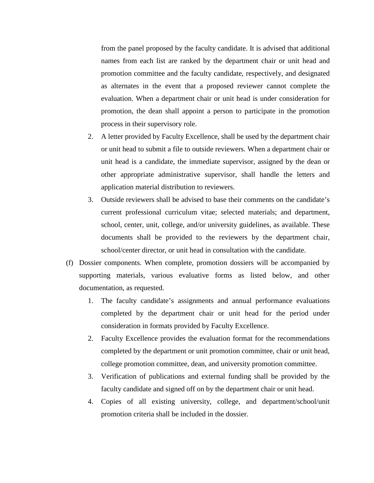from the panel proposed by the faculty candidate. It is advised that additional names from each list are ranked by the department chair or unit head and promotion committee and the faculty candidate, respectively, and designated as alternates in the event that a proposed reviewer cannot complete the evaluation. When a department chair or unit head is under consideration for promotion, the dean shall appoint a person to participate in the promotion process in their supervisory role.

- 2. A letter provided by Faculty Excellence, shall be used by the department chair or unit head to submit a file to outside reviewers. When a department chair or unit head is a candidate, the immediate supervisor, assigned by the dean or other appropriate administrative supervisor, shall handle the letters and application material distribution to reviewers.
- 3. Outside reviewers shall be advised to base their comments on the candidate's current professional curriculum vitae; selected materials; and department, school, center, unit, college, and/or university guidelines, as available. These documents shall be provided to the reviewers by the department chair, school/center director, or unit head in consultation with the candidate.
- (f) Dossier components. When complete, promotion dossiers will be accompanied by supporting materials, various evaluative forms as listed below, and other documentation, as requested.
	- 1. The faculty candidate's assignments and annual performance evaluations completed by the department chair or unit head for the period under consideration in formats provided by Faculty Excellence.
	- 2. Faculty Excellence provides the evaluation format for the recommendations completed by the department or unit promotion committee, chair or unit head, college promotion committee, dean, and university promotion committee.
	- 3. Verification of publications and external funding shall be provided by the faculty candidate and signed off on by the department chair or unit head.
	- 4. Copies of all existing university, college, and department/school/unit promotion criteria shall be included in the dossier.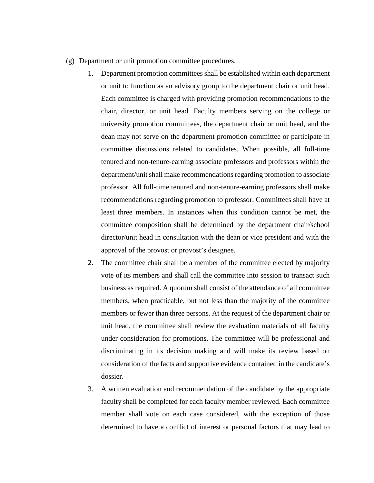- (g) Department or unit promotion committee procedures.
	- 1. Department promotion committees shall be established within each department or unit to function as an advisory group to the department chair or unit head. Each committee is charged with providing promotion recommendations to the chair, director, or unit head. Faculty members serving on the college or university promotion committees, the department chair or unit head, and the dean may not serve on the department promotion committee or participate in committee discussions related to candidates. When possible, all full-time tenured and non-tenure-earning associate professors and professors within the department/unit shall make recommendations regarding promotion to associate professor. All full-time tenured and non-tenure-earning professors shall make recommendations regarding promotion to professor. Committees shall have at least three members. In instances when this condition cannot be met, the committee composition shall be determined by the department chair/school director/unit head in consultation with the dean or vice president and with the approval of the provost or provost's designee.
	- 2. The committee chair shall be a member of the committee elected by majority vote of its members and shall call the committee into session to transact such business as required. A quorum shall consist of the attendance of all committee members, when practicable, but not less than the majority of the committee members or fewer than three persons. At the request of the department chair or unit head, the committee shall review the evaluation materials of all faculty under consideration for promotions. The committee will be professional and discriminating in its decision making and will make its review based on consideration of the facts and supportive evidence contained in the candidate's dossier.
	- 3. A written evaluation and recommendation of the candidate by the appropriate faculty shall be completed for each faculty member reviewed. Each committee member shall vote on each case considered, with the exception of those determined to have a conflict of interest or personal factors that may lead to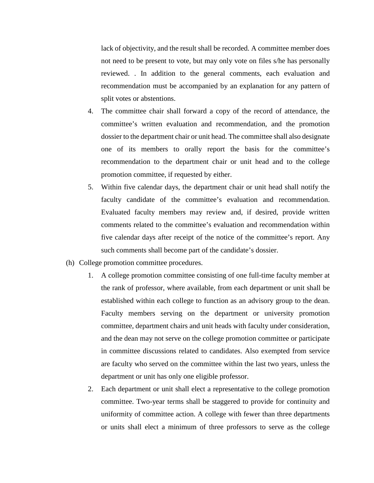lack of objectivity, and the result shall be recorded. A committee member does not need to be present to vote, but may only vote on files s/he has personally reviewed. . In addition to the general comments, each evaluation and recommendation must be accompanied by an explanation for any pattern of split votes or abstentions.

- 4. The committee chair shall forward a copy of the record of attendance, the committee's written evaluation and recommendation, and the promotion dossier to the department chair or unit head. The committee shall also designate one of its members to orally report the basis for the committee's recommendation to the department chair or unit head and to the college promotion committee, if requested by either.
- 5. Within five calendar days, the department chair or unit head shall notify the faculty candidate of the committee's evaluation and recommendation. Evaluated faculty members may review and, if desired, provide written comments related to the committee's evaluation and recommendation within five calendar days after receipt of the notice of the committee's report. Any such comments shall become part of the candidate's dossier.
- (h) College promotion committee procedures.
	- 1. A college promotion committee consisting of one full-time faculty member at the rank of professor, where available, from each department or unit shall be established within each college to function as an advisory group to the dean. Faculty members serving on the department or university promotion committee, department chairs and unit heads with faculty under consideration, and the dean may not serve on the college promotion committee or participate in committee discussions related to candidates. Also exempted from service are faculty who served on the committee within the last two years, unless the department or unit has only one eligible professor.
	- 2. Each department or unit shall elect a representative to the college promotion committee. Two-year terms shall be staggered to provide for continuity and uniformity of committee action. A college with fewer than three departments or units shall elect a minimum of three professors to serve as the college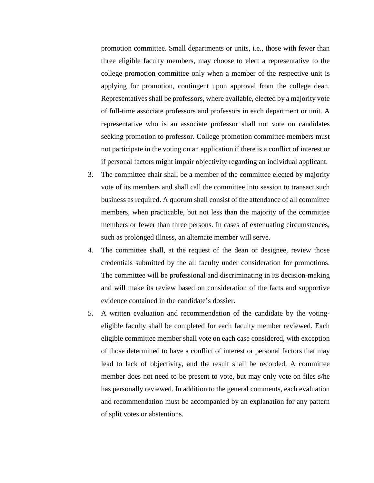promotion committee. Small departments or units, i.e., those with fewer than three eligible faculty members, may choose to elect a representative to the college promotion committee only when a member of the respective unit is applying for promotion, contingent upon approval from the college dean. Representatives shall be professors, where available, elected by a majority vote of full-time associate professors and professors in each department or unit. A representative who is an associate professor shall not vote on candidates seeking promotion to professor. College promotion committee members must not participate in the voting on an application if there is a conflict of interest or if personal factors might impair objectivity regarding an individual applicant.

- 3. The committee chair shall be a member of the committee elected by majority vote of its members and shall call the committee into session to transact such business as required. A quorum shall consist of the attendance of all committee members, when practicable, but not less than the majority of the committee members or fewer than three persons. In cases of extenuating circumstances, such as prolonged illness, an alternate member will serve.
- 4. The committee shall, at the request of the dean or designee, review those credentials submitted by the all faculty under consideration for promotions. The committee will be professional and discriminating in its decision-making and will make its review based on consideration of the facts and supportive evidence contained in the candidate's dossier.
- 5. A written evaluation and recommendation of the candidate by the votingeligible faculty shall be completed for each faculty member reviewed. Each eligible committee member shall vote on each case considered, with exception of those determined to have a conflict of interest or personal factors that may lead to lack of objectivity, and the result shall be recorded. A committee member does not need to be present to vote, but may only vote on files s/he has personally reviewed. In addition to the general comments, each evaluation and recommendation must be accompanied by an explanation for any pattern of split votes or abstentions.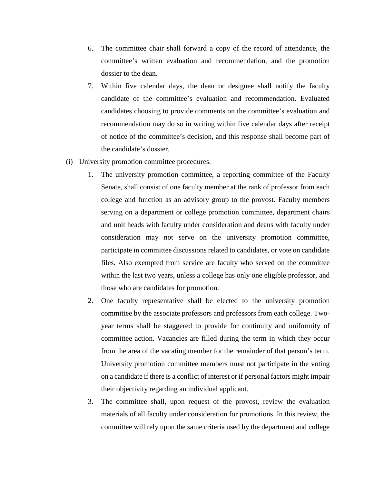- 6. The committee chair shall forward a copy of the record of attendance, the committee's written evaluation and recommendation, and the promotion dossier to the dean.
- 7. Within five calendar days, the dean or designee shall notify the faculty candidate of the committee's evaluation and recommendation. Evaluated candidates choosing to provide comments on the committee's evaluation and recommendation may do so in writing within five calendar days after receipt of notice of the committee's decision, and this response shall become part of the candidate's dossier.
- (i) University promotion committee procedures.
	- 1. The university promotion committee, a reporting committee of the Faculty Senate, shall consist of one faculty member at the rank of professor from each college and function as an advisory group to the provost. Faculty members serving on a department or college promotion committee, department chairs and unit heads with faculty under consideration and deans with faculty under consideration may not serve on the university promotion committee, participate in committee discussions related to candidates, or vote on candidate files. Also exempted from service are faculty who served on the committee within the last two years, unless a college has only one eligible professor, and those who are candidates for promotion.
	- 2. One faculty representative shall be elected to the university promotion committee by the associate professors and professors from each college. Twoyear terms shall be staggered to provide for continuity and uniformity of committee action. Vacancies are filled during the term in which they occur from the area of the vacating member for the remainder of that person's term. University promotion committee members must not participate in the voting on a candidate if there is a conflict of interest or if personal factors might impair their objectivity regarding an individual applicant.
	- 3. The committee shall, upon request of the provost, review the evaluation materials of all faculty under consideration for promotions. In this review, the committee will rely upon the same criteria used by the department and college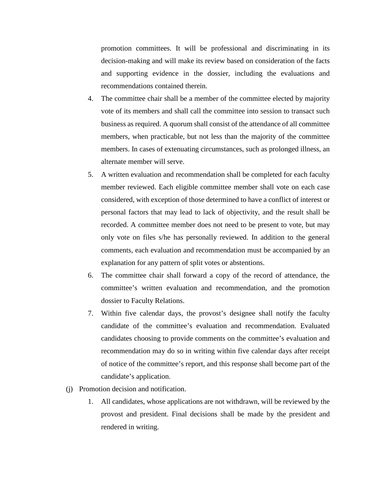promotion committees. It will be professional and discriminating in its decision-making and will make its review based on consideration of the facts and supporting evidence in the dossier, including the evaluations and recommendations contained therein.

- 4. The committee chair shall be a member of the committee elected by majority vote of its members and shall call the committee into session to transact such business as required. A quorum shall consist of the attendance of all committee members, when practicable, but not less than the majority of the committee members. In cases of extenuating circumstances, such as prolonged illness, an alternate member will serve.
- 5. A written evaluation and recommendation shall be completed for each faculty member reviewed. Each eligible committee member shall vote on each case considered, with exception of those determined to have a conflict of interest or personal factors that may lead to lack of objectivity, and the result shall be recorded. A committee member does not need to be present to vote, but may only vote on files s/he has personally reviewed. In addition to the general comments, each evaluation and recommendation must be accompanied by an explanation for any pattern of split votes or abstentions.
- 6. The committee chair shall forward a copy of the record of attendance, the committee's written evaluation and recommendation, and the promotion dossier to Faculty Relations.
- 7. Within five calendar days, the provost's designee shall notify the faculty candidate of the committee's evaluation and recommendation. Evaluated candidates choosing to provide comments on the committee's evaluation and recommendation may do so in writing within five calendar days after receipt of notice of the committee's report, and this response shall become part of the candidate's application.
- (j) Promotion decision and notification.
	- 1. All candidates, whose applications are not withdrawn, will be reviewed by the provost and president. Final decisions shall be made by the president and rendered in writing.